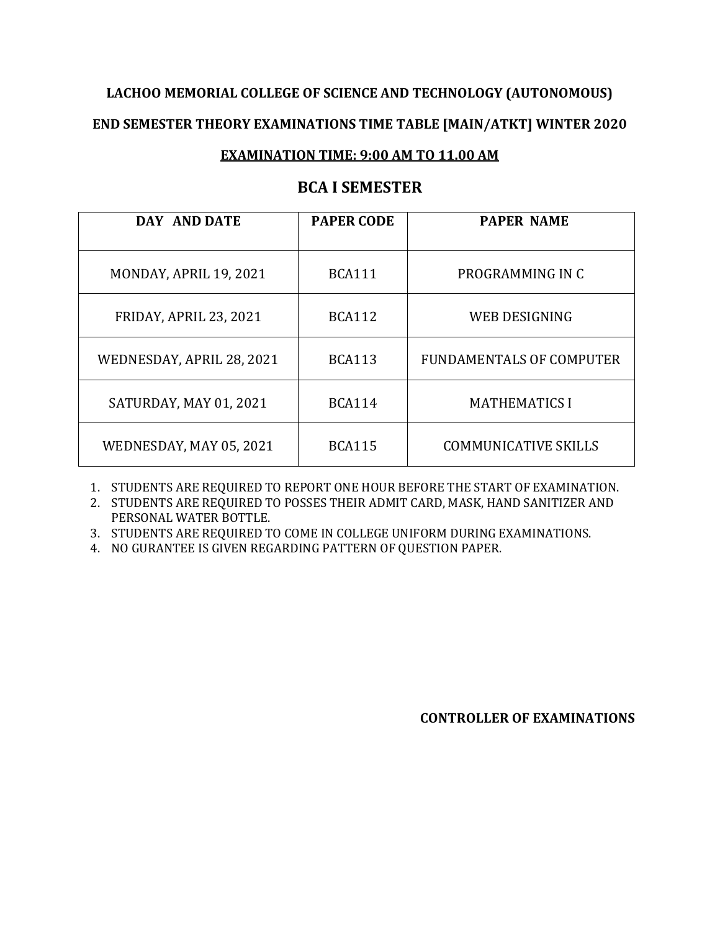# **LACHOO MEMORIAL COLLEGE OF SCIENCE AND TECHNOLOGY (AUTONOMOUS) END SEMESTER THEORY EXAMINATIONS TIME TABLE [MAIN/ATKT] WINTER 2020**

#### **EXAMINATION TIME: 9:00 AM TO 11.00 AM**

#### **BCA I SEMESTER**

| DAY AND DATE              | <b>PAPER CODE</b> | <b>PAPER NAME</b>               |
|---------------------------|-------------------|---------------------------------|
| MONDAY, APRIL 19, 2021    | <b>BCA111</b>     | PROGRAMMING IN C                |
| FRIDAY, APRIL 23, 2021    | <b>BCA112</b>     | WEB DESIGNING                   |
| WEDNESDAY, APRIL 28, 2021 | <b>BCA113</b>     | <b>FUNDAMENTALS OF COMPUTER</b> |
| SATURDAY, MAY 01, 2021    | <b>BCA114</b>     | <b>MATHEMATICS I</b>            |
| WEDNESDAY, MAY 05, 2021   | <b>BCA115</b>     | <b>COMMUNICATIVE SKILLS</b>     |

1. STUDENTS ARE REQUIRED TO REPORT ONE HOUR BEFORE THE START OF EXAMINATION.

2. STUDENTS ARE REQUIRED TO POSSES THEIR ADMIT CARD, MASK, HAND SANITIZER AND PERSONAL WATER BOTTLE.

3. STUDENTS ARE REQUIRED TO COME IN COLLEGE UNIFORM DURING EXAMINATIONS.

4. NO GURANTEE IS GIVEN REGARDING PATTERN OF QUESTION PAPER.

**CONTROLLER OF EXAMINATIONS**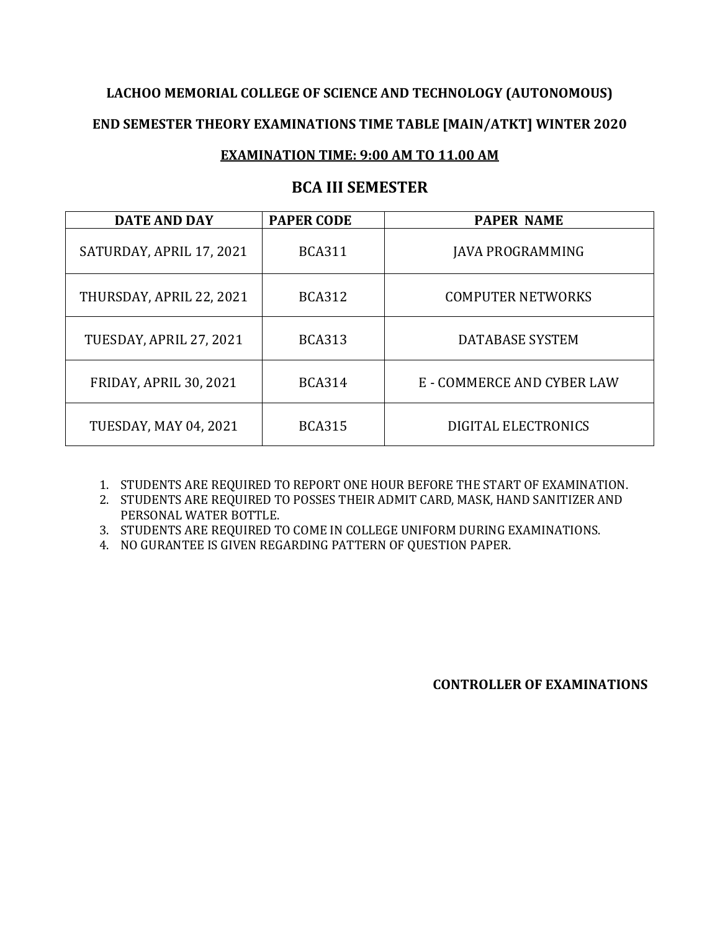### **LACHOO MEMORIAL COLLEGE OF SCIENCE AND TECHNOLOGY (AUTONOMOUS)**

#### **END SEMESTER THEORY EXAMINATIONS TIME TABLE [MAIN/ATKT] WINTER 2020**

#### **EXAMINATION TIME: 9:00 AM TO 11.00 AM**

#### **BCA III SEMESTER**

| <b>DATE AND DAY</b>           | <b>PAPER CODE</b> | <b>PAPER NAME</b>          |
|-------------------------------|-------------------|----------------------------|
| SATURDAY, APRIL 17, 2021      | <b>BCA311</b>     | JAVA PROGRAMMING           |
| THURSDAY, APRIL 22, 2021      | <b>BCA312</b>     | <b>COMPUTER NETWORKS</b>   |
| TUESDAY, APRIL 27, 2021       | <b>BCA313</b>     | <b>DATABASE SYSTEM</b>     |
| <b>FRIDAY, APRIL 30, 2021</b> | <b>BCA314</b>     | E - COMMERCE AND CYBER LAW |
| <b>TUESDAY, MAY 04, 2021</b>  | <b>BCA315</b>     | DIGITAL ELECTRONICS        |

1. STUDENTS ARE REQUIRED TO REPORT ONE HOUR BEFORE THE START OF EXAMINATION.

2. STUDENTS ARE REQUIRED TO POSSES THEIR ADMIT CARD, MASK, HAND SANITIZER AND PERSONAL WATER BOTTLE.

3. STUDENTS ARE REQUIRED TO COME IN COLLEGE UNIFORM DURING EXAMINATIONS.

4. NO GURANTEE IS GIVEN REGARDING PATTERN OF QUESTION PAPER.

**CONTROLLER OF EXAMINATIONS**